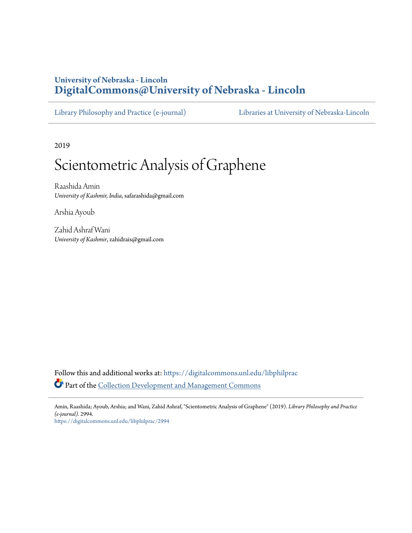# **University of Nebraska - Lincoln [DigitalCommons@University of Nebraska - Lincoln](https://digitalcommons.unl.edu/?utm_source=digitalcommons.unl.edu%2Flibphilprac%2F2994&utm_medium=PDF&utm_campaign=PDFCoverPages)**

[Library Philosophy and Practice \(e-journal\)](https://digitalcommons.unl.edu/libphilprac?utm_source=digitalcommons.unl.edu%2Flibphilprac%2F2994&utm_medium=PDF&utm_campaign=PDFCoverPages) [Libraries at University of Nebraska-Lincoln](https://digitalcommons.unl.edu/libraries?utm_source=digitalcommons.unl.edu%2Flibphilprac%2F2994&utm_medium=PDF&utm_campaign=PDFCoverPages)

2019

# Scientometric Analysis of Graphene

Raashida Amin *University of Kashmir, India*, safarashida@gmail.com

Arshia Ayoub

Zahid Ashraf Wani *University of Kashmir*, zahidrais@gmail.com

Follow this and additional works at: [https://digitalcommons.unl.edu/libphilprac](https://digitalcommons.unl.edu/libphilprac?utm_source=digitalcommons.unl.edu%2Flibphilprac%2F2994&utm_medium=PDF&utm_campaign=PDFCoverPages) Part of the [Collection Development and Management Commons](http://network.bepress.com/hgg/discipline/1271?utm_source=digitalcommons.unl.edu%2Flibphilprac%2F2994&utm_medium=PDF&utm_campaign=PDFCoverPages)

Amin, Raashida; Ayoub, Arshia; and Wani, Zahid Ashraf, "Scientometric Analysis of Graphene" (2019). *Library Philosophy and Practice (e-journal)*. 2994.

[https://digitalcommons.unl.edu/libphilprac/2994](https://digitalcommons.unl.edu/libphilprac/2994?utm_source=digitalcommons.unl.edu%2Flibphilprac%2F2994&utm_medium=PDF&utm_campaign=PDFCoverPages)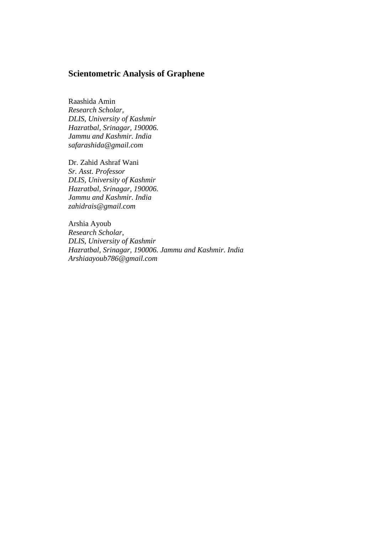# **Scientometric Analysis of Graphene**

Raashida Amin *Research Scholar, DLIS, University of Kashmir Hazratbal, Srinagar, 190006. Jammu and Kashmir. India safarashida@gmail.com*

Dr. Zahid Ashraf Wani *Sr. Asst. Professor DLIS, University of Kashmir Hazratbal, Srinagar, 190006. Jammu and Kashmir. India zahidrais@gmail.com*

Arshia Ayoub *Research Scholar, DLIS, University of Kashmir Hazratbal, Srinagar, 190006. Jammu and Kashmir. India Arshiaayoub786@gmail.com*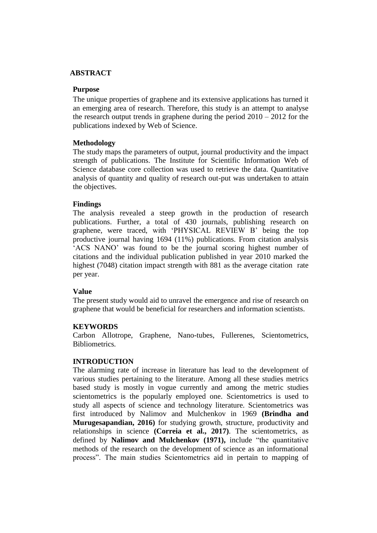## **ABSTRACT**

#### **Purpose**

The unique properties of graphene and its extensive applications has turned it an emerging area of research. Therefore, this study is an attempt to analyse the research output trends in graphene during the period  $2010 - 2012$  for the publications indexed by Web of Science.

## **Methodology**

The study maps the parameters of output, journal productivity and the impact strength of publications. The Institute for Scientific Information Web of Science database core collection was used to retrieve the data. Quantitative analysis of quantity and quality of research out-put was undertaken to attain the objectives.

#### **Findings**

The analysis revealed a steep growth in the production of research publications. Further, a total of 430 journals, publishing research on graphene, were traced, with 'PHYSICAL REVIEW B' being the top productive journal having 1694 (11%) publications. From citation analysis 'ACS NANO' was found to be the journal scoring highest number of citations and the individual publication published in year 2010 marked the highest (7048) citation impact strength with 881 as the average citation rate per year.

## **Value**

The present study would aid to unravel the emergence and rise of research on graphene that would be beneficial for researchers and information scientists.

## **KEYWORDS**

Carbon Allotrope, Graphene, Nano-tubes, Fullerenes, Scientometrics, Bibliometrics*.*

#### **INTRODUCTION**

The alarming rate of increase in literature has lead to the development of various studies pertaining to the literature. Among all these studies metrics based study is mostly in vogue currently and among the metric studies scientometrics is the popularly employed one. Scientometrics is used to study all aspects of science and technology literature. Scientometrics was first introduced by Nalimov and Mulchenkov in 1969 **(Brindha and Murugesapandian, 2016)** for studying growth, structure, productivity and relationships in science **(Correia et al., 2017)**. The scientometrics, as defined by **Nalimov and Mulchenkov (1971),** include "the quantitative methods of the research on the development of science as an informational process". The main studies Scientometrics aid in pertain to mapping of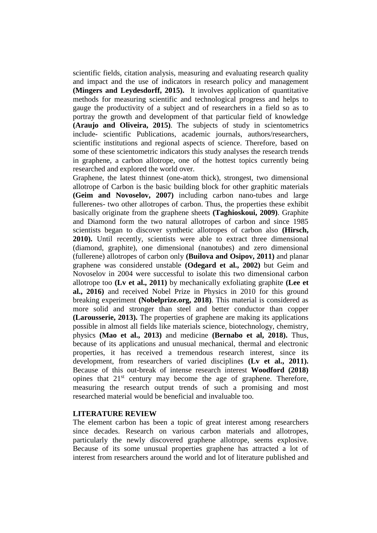scientific fields, citation analysis, measuring and evaluating research quality and impact and the use of indicators in research policy and management **(Mingers and Leydesdorff, 2015).** It involves application of quantitative methods for measuring scientific and technological progress and helps to gauge the productivity of a subject and of researchers in a field so as to portray the growth and development of that particular field of knowledge **(Araujo and Oliveira, 2015)**. The subjects of study in scientometrics include- scientific Publications, academic journals, authors/researchers, scientific institutions and regional aspects of science. Therefore, based on some of these scientometric indicators this study analyses the research trends in graphene, a carbon allotrope, one of the hottest topics currently being researched and explored the world over.

Graphene, the latest thinnest (one-atom thick), strongest, two dimensional allotrope of Carbon is the basic building block for other graphitic materials **(Geim and Novoselov, 2007)** including carbon nano-tubes and large fullerenes- two other allotropes of carbon. Thus, the properties these exhibit basically originate from the graphene sheets **(Taghioskoui, 2009)**. Graphite and Diamond form the two natural allotropes of carbon and since 1985 scientists began to discover synthetic allotropes of carbon also **(Hirsch, 2010).** Until recently, scientists were able to extract three dimensional (diamond, graphite), one dimensional (nanotubes) and zero dimensional (fullerene) allotropes of carbon only **(Builova and Osipov, 2011)** and planar graphene was considered unstable **(Odegard et al., 2002)** but Geim and Novoselov in 2004 were successful to isolate this two dimensional carbon allotrope too **(Lv et al., 2011)** by mechanically exfoliating graphite **(Lee et al., 2016)** and received Nobel Prize in Physics in 2010 for this ground breaking experiment **(Nobelprize.org, 2018)**. This material is considered as more solid and stronger than steel and better conductor than copper **(Larousserie, 2013).** The properties of graphene are making its applications possible in almost all fields like materials science, biotechnology, chemistry, physics **(Mao et al., 2013)** and medicine **(Bernabo et al, 2018).** Thus, because of its applications and unusual mechanical, thermal and electronic properties, it has received a tremendous research interest, since its development, from researchers of varied disciplines **(Lv et al., 2011).** Because of this out-break of intense research interest **Woodford (2018)** opines that  $21<sup>st</sup>$  century may become the age of graphene. Therefore, measuring the research output trends of such a promising and most researched material would be beneficial and invaluable too.

#### **LITERATURE REVIEW**

The element carbon has been a topic of great interest among researchers since decades. Research on various carbon materials and allotropes, particularly the newly discovered graphene allotrope, seems explosive. Because of its some unusual properties graphene has attracted a lot of interest from researchers around the world and lot of literature published and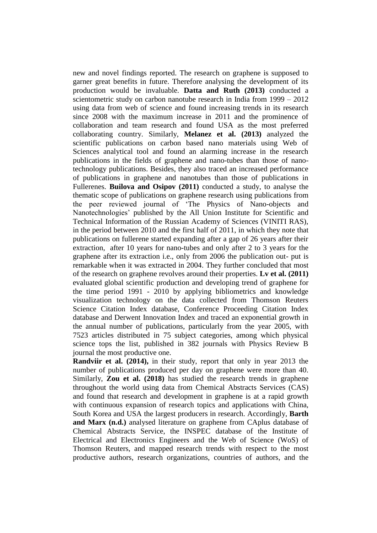new and novel findings reported. The research on graphene is supposed to garner great benefits in future. Therefore analysing the development of its production would be invaluable. **Datta and Ruth (2013)** conducted a scientometric study on carbon nanotube research in India from 1999 – 2012 using data from web of science and found increasing trends in its research since 2008 with the maximum increase in 2011 and the prominence of collaboration and team research and found USA as the most preferred collaborating country. Similarly, **Melanez et al. (2013)** analyzed the scientific publications on carbon based nano materials using Web of Sciences analytical tool and found an alarming increase in the research publications in the fields of graphene and nano-tubes than those of nanotechnology publications. Besides, they also traced an increased performance of publications in graphene and nanotubes than those of publications in Fullerenes. **Builova and Osipov (2011)** conducted a study, to analyse the thematic scope of publications on graphene research using publications from the peer reviewed journal of 'The Physics of Nano-objects and Nanotechnologies' published by the All Union Institute for Scientific and Technical Information of the Russian Academy of Sciences (VINITI RAS), in the period between 2010 and the first half of 2011, in which they note that publications on fullerene started expanding after a gap of 26 years after their extraction, after 10 years for nano-tubes and only after 2 to 3 years for the graphene after its extraction i.e., only from 2006 the publication out- put is remarkable when it was extracted in 2004. They further concluded that most of the research on graphene revolves around their properties. **Lv et al. (2011)**  evaluated global scientific production and developing trend of graphene for the time period 1991 - 2010 by applying bibliometrics and knowledge visualization technology on the data collected from Thomson Reuters Science Citation Index database, Conference Proceeding Citation Index database and Derwent Innovation Index and traced an exponential growth in the annual number of publications, particularly from the year 2005, with 7523 articles distributed in 75 subject categories, among which physical science tops the list, published in 382 journals with Physics Review B journal the most productive one.

**Randviir et al. (2014),** in their study, report that only in year 2013 the number of publications produced per day on graphene were more than 40. Similarly, **Zou et al. (2018)** has studied the research trends in graphene throughout the world using data from Chemical Abstracts Services (CAS) and found that research and development in graphene is at a rapid growth with continuous expansion of research topics and applications with China, South Korea and USA the largest producers in research. Accordingly, **Barth and Marx (n.d.)** analysed literature on graphene from CAplus database of Chemical Abstracts Service, the INSPEC database of the Institute of Electrical and Electronics Engineers and the Web of Science (WoS) of Thomson Reuters, and mapped research trends with respect to the most productive authors, research organizations, countries of authors, and the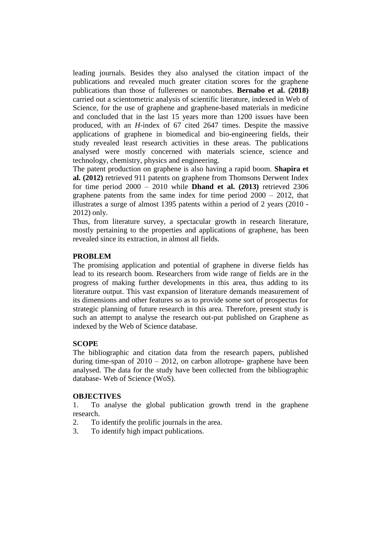leading journals. Besides they also analysed the citation impact of the publications and revealed much greater citation scores for the graphene publications than those of fullerenes or nanotubes. **Bernabo et al. (2018)** carried out a scientometric analysis of scientific literature, indexed in Web of Science, for the use of graphene and graphene-based materials in medicine and concluded that in the last 15 years more than 1200 issues have been produced, with an *H*-index of 67 cited 2647 times. Despite the massive applications of graphene in biomedical and bio-engineering fields, their study revealed least research activities in these areas. The publications analysed were mostly concerned with materials science, science and technology, chemistry, physics and engineering.

The patent production on graphene is also having a rapid boom. **Shapira et al. (2012)** retrieved 911 patents on graphene from Thomsons Derwent Index for time period 2000 – 2010 while **Dhand et al. (2013)** retrieved 2306 graphene patents from the same index for time period 2000 – 2012, that illustrates a surge of almost 1395 patents within a period of 2 years (2010 - 2012) only.

Thus, from literature survey, a spectacular growth in research literature, mostly pertaining to the properties and applications of graphene, has been revealed since its extraction, in almost all fields.

#### **PROBLEM**

The promising application and potential of graphene in diverse fields has lead to its research boom. Researchers from wide range of fields are in the progress of making further developments in this area, thus adding to its literature output. This vast expansion of literature demands measurement of its dimensions and other features so as to provide some sort of prospectus for strategic planning of future research in this area. Therefore, present study is such an attempt to analyse the research out-put published on Graphene as indexed by the Web of Science database.

#### **SCOPE**

The bibliographic and citation data from the research papers, published during time-span of  $2010 - 2012$ , on carbon allotrope-graphene have been analysed. The data for the study have been collected from the bibliographic database- Web of Science (WoS).

#### **OBJECTIVES**

1. To analyse the global publication growth trend in the graphene research.

2. To identify the prolific journals in the area.

3. To identify high impact publications.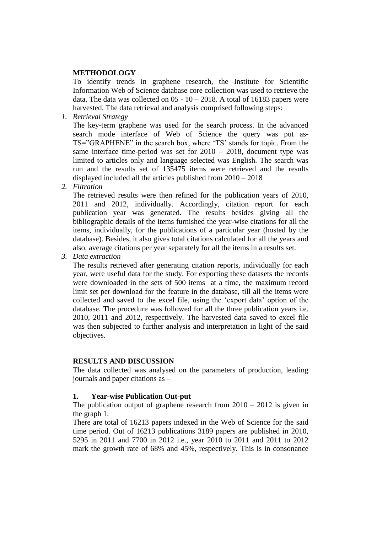## **METHODOLOGY**

To identify trends in graphene research, the Institute for Scientific Information Web of Science database core collection was used to retrieve the data. The data was collected on  $05 - 10 - 2018$ . A total of 16183 papers were harvested. The data retrieval and analysis comprised following steps:

*1. Retrieval Strategy*

The key-term graphene was used for the search process. In the advanced search mode interface of Web of Science the query was put as-TS="GRAPHENE" in the search box, where 'TS' stands for topic. From the same interface time-period was set for 2010 – 2018, document type was limited to articles only and language selected was English. The search was run and the results set of 135475 items were retrieved and the results displayed included all the articles published from 2010 – 2018

*2. Filtration*

The retrieved results were then refined for the publication years of 2010, 2011 and 2012, individually. Accordingly, citation report for each publication year was generated. The results besides giving all the bibliographic details of the items furnished the year-wise citations for all the items, individually, for the publications of a particular year (hosted by the database). Besides, it also gives total citations calculated for all the years and also, average citations per year separately for all the items in a results set.

*3. Data extraction*

The results retrieved after generating citation reports, individually for each year, were useful data for the study. For exporting these datasets the records were downloaded in the sets of 500 items at a time, the maximum record limit set per download for the feature in the database, till all the items were collected and saved to the excel file, using the 'export data' option of the database. The procedure was followed for all the three publication years i.e. 2010, 2011 and 2012, respectively. The harvested data saved to excel file was then subjected to further analysis and interpretation in light of the said objectives.

## **RESULTS AND DISCUSSION**

The data collected was analysed on the parameters of production, leading journals and paper citations as –

## **1. Year-wise Publication Out-put**

The publication output of graphene research from  $2010 - 2012$  is given in the graph 1.

There are total of 16213 papers indexed in the Web of Science for the said time period. Out of 16213 publications 3189 papers are published in 2010, 5295 in 2011 and 7700 in 2012 i.e., year 2010 to 2011 and 2011 to 2012 mark the growth rate of 68% and 45%, respectively. This is in consonance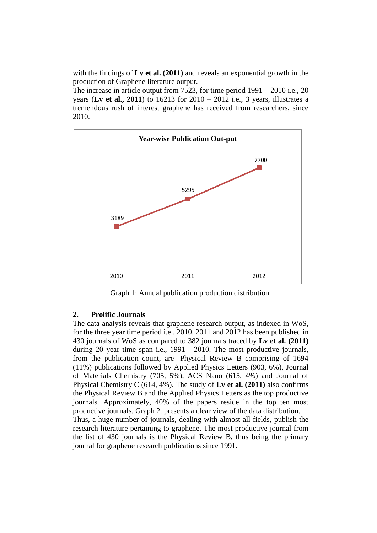with the findings of **Lv et al. (2011)** and reveals an exponential growth in the production of Graphene literature output.

The increase in article output from 7523, for time period 1991 – 2010 i.e., 20 years (**Lv et al., 2011**) to 16213 for 2010 – 2012 i.e., 3 years, illustrates a tremendous rush of interest graphene has received from researchers, since 2010.



Graph 1: Annual publication production distribution.

## **2. Prolific Journals**

The data analysis reveals that graphene research output, as indexed in WoS, for the three year time period i.e., 2010, 2011 and 2012 has been published in 430 journals of WoS as compared to 382 journals traced by **Lv et al. (2011)**  during 20 year time span i.e., 1991 - 2010. The most productive journals, from the publication count, are- Physical Review B comprising of 1694 (11%) publications followed by Applied Physics Letters (903, 6%), Journal of Materials Chemistry (705, 5%), ACS Nano (615, 4%) and Journal of Physical Chemistry C (614, 4%). The study of **Lv et al. (2011)** also confirms the Physical Review B and the Applied Physics Letters as the top productive journals. Approximately, 40% of the papers reside in the top ten most productive journals. Graph 2. presents a clear view of the data distribution. Thus, a huge number of journals, dealing with almost all fields, publish the research literature pertaining to graphene. The most productive journal from

the list of 430 journals is the Physical Review B, thus being the primary journal for graphene research publications since 1991.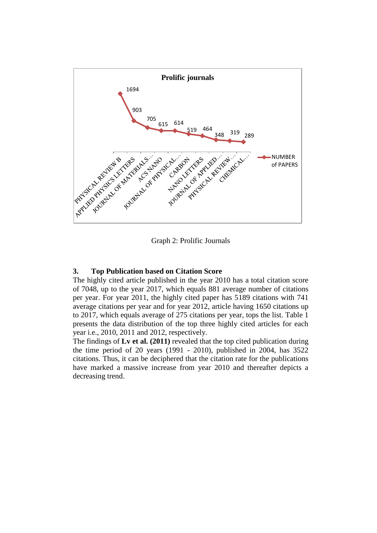

Graph 2: Prolific Journals

## **3. Top Publication based on Citation Score**

The highly cited article published in the year 2010 has a total citation score of 7048, up to the year 2017, which equals 881 average number of citations per year. For year 2011, the highly cited paper has 5189 citations with 741 average citations per year and for year 2012, article having 1650 citations up to 2017, which equals average of 275 citations per year, tops the list. Table 1 presents the data distribution of the top three highly cited articles for each year i.e., 2010, 2011 and 2012, respectively.

The findings of **Lv et al. (2011)** revealed that the top cited publication during the time period of 20 years (1991 - 2010), published in 2004, has 3522 citations. Thus, it can be deciphered that the citation rate for the publications have marked a massive increase from year 2010 and thereafter depicts a decreasing trend.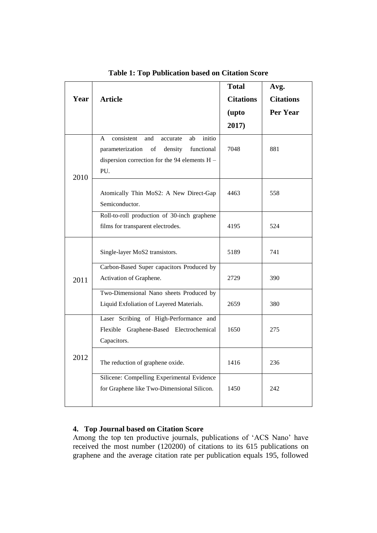|      |                                                                                                                                                                 | <b>Total</b>     | Avg.             |
|------|-----------------------------------------------------------------------------------------------------------------------------------------------------------------|------------------|------------------|
| Year | <b>Article</b>                                                                                                                                                  | <b>Citations</b> | <b>Citations</b> |
|      |                                                                                                                                                                 | (upto            | Per Year         |
|      |                                                                                                                                                                 | 2017)            |                  |
| 2010 | initio<br>consistent<br>and<br>ab<br>A<br>accurate<br>of<br>density<br>functional<br>parameterization<br>dispersion correction for the 94 elements $H -$<br>PU. | 7048             | 881              |
|      | Atomically Thin MoS2: A New Direct-Gap<br>Semiconductor.                                                                                                        | 4463             | 558              |
|      | Roll-to-roll production of 30-inch graphene<br>films for transparent electrodes.                                                                                | 4195             | 524              |
| 2011 | Single-layer MoS2 transistors.                                                                                                                                  | 5189             | 741              |
|      | Carbon-Based Super capacitors Produced by<br>Activation of Graphene.                                                                                            | 2729             | 390              |
|      | Two-Dimensional Nano sheets Produced by<br>Liquid Exfoliation of Layered Materials.                                                                             | 2659             | 380              |
| 2012 | Laser Scribing of High-Performance and<br>Flexible Graphene-Based Electrochemical<br>Capacitors.                                                                | 1650             | 275              |
|      | The reduction of graphene oxide.                                                                                                                                | 1416             | 236              |
|      | Silicene: Compelling Experimental Evidence<br>for Graphene like Two-Dimensional Silicon.                                                                        | 1450             | 242              |

**Table 1: Top Publication based on Citation Score**

# **4. Top Journal based on Citation Score**

Among the top ten productive journals, publications of 'ACS Nano' have received the most number (120200) of citations to its 615 publications on graphene and the average citation rate per publication equals 195, followed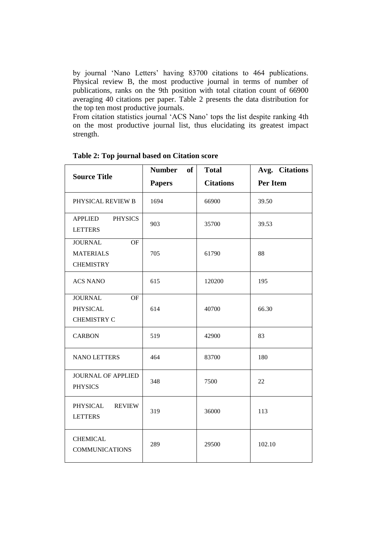by journal 'Nano Letters' having 83700 citations to 464 publications. Physical review B, the most productive journal in terms of number of publications, ranks on the 9th position with total citation count of 66900 averaging 40 citations per paper. Table 2 presents the data distribution for the top ten most productive journals.

From citation statistics journal 'ACS Nano' tops the list despite ranking 4th on the most productive journal list, thus elucidating its greatest impact strength.

|                                                                     | <b>Number</b><br><b>of</b> | <b>Total</b>     | Avg. Citations |
|---------------------------------------------------------------------|----------------------------|------------------|----------------|
| <b>Source Title</b>                                                 | <b>Papers</b>              | <b>Citations</b> | Per Item       |
| PHYSICAL REVIEW B                                                   | 1694                       | 66900            | 39.50          |
| APPLIED PHYSICS<br><b>LETTERS</b>                                   | 903                        | 35700            | 39.53          |
| <b>JOURNAL</b><br><b>OF</b><br><b>MATERIALS</b><br><b>CHEMISTRY</b> | 705                        | 61790            | 88             |
| <b>ACS NANO</b>                                                     | 615                        | 120200           | 195            |
| <b>JOURNAL</b><br><b>OF</b><br>PHYSICAL<br><b>CHEMISTRY C</b>       | 614                        | 40700            | 66.30          |
| <b>CARBON</b>                                                       | 519                        | 42900            | 83             |
| <b>NANO LETTERS</b>                                                 | 464                        | 83700            | 180            |
| <b>JOURNAL OF APPLIED</b><br><b>PHYSICS</b>                         | 348                        | 7500             | 22             |
| PHYSICAL<br><b>REVIEW</b><br><b>LETTERS</b>                         | 319                        | 36000            | 113            |
| <b>CHEMICAL</b><br><b>COMMUNICATIONS</b>                            | 289                        | 29500            | 102.10         |

**Table 2: Top journal based on Citation score**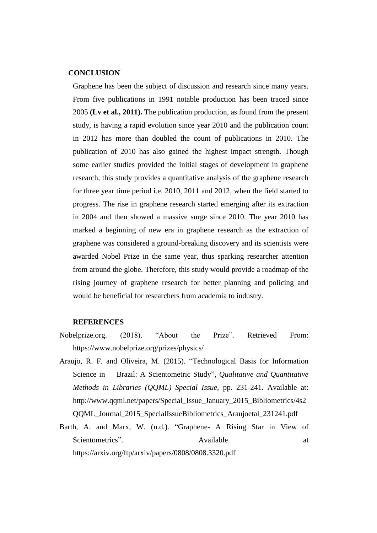#### **CONCLUSION**

Graphene has been the subject of discussion and research since many years. From five publications in 1991 notable production has been traced since 2005 **(Lv et al., 2011).** The publication production, as found from the present study, is having a rapid evolution since year 2010 and the publication count in 2012 has more than doubled the count of publications in 2010. The publication of 2010 has also gained the highest impact strength. Though some earlier studies provided the initial stages of development in graphene research, this study provides a quantitative analysis of the graphene research for three year time period i.e. 2010, 2011 and 2012, when the field started to progress. The rise in graphene research started emerging after its extraction in 2004 and then showed a massive surge since 2010. The year 2010 has marked a beginning of new era in graphene research as the extraction of graphene was considered a ground-breaking discovery and its scientists were awarded Nobel Prize in the same year, thus sparking researcher attention from around the globe. Therefore, this study would provide a roadmap of the rising journey of graphene research for better planning and policing and would be beneficial for researchers from academia to industry.

#### **REFERENCES**

- Nobelprize.org. (2018). "About the Prize". Retrieved From: https://www.nobelprize.org/prizes/physics/
- Araujo, R. F. and Oliveira, M. (2015). "Technological Basis for Information Science in Brazil: A Scientometric Study", *Qualitative and Quantitative Methods in Libraries (QQML) Special Issue,* pp. 231-241. Available at: http://www.qqml.net/papers/Special\_Issue\_January\_2015\_Bibliometrics/4s2 QQML\_Journal\_2015\_SpecialIssueBibliometrics\_Araujoetal\_231241.pdf
- Barth, A. and Marx, W. (n.d.). "Graphene- A Rising Star in View of Scientometrics". Available at a series at a series and a series at a series and a series and a series at a series and a series at a series and a series and a series at a series and a series and a series and a series and a https://arxiv.org/ftp/arxiv/papers/0808/0808.3320.pdf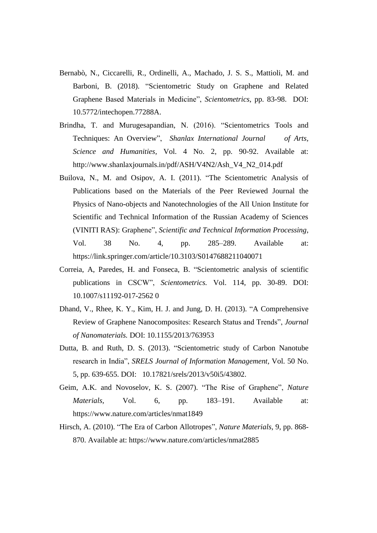- Bernabò, N., Ciccarelli, R., Ordinelli, A., Machado, J. S. S., Mattioli, M. and Barboni, B. (2018). "Scientometric Study on Graphene and Related Graphene Based Materials in Medicine", *Scientometrics*, pp. 83-98. DOI: 10.5772/intechopen.77288A.
- Brindha, T. and Murugesapandian, N. (2016). "Scientometrics Tools and Techniques: An Overview", *Shanlax International Journal of Arts, Science and Humanities,* Vol. 4 No. 2, pp. 90-92. Available at: http://www.shanlaxjournals.in/pdf/ASH/V4N2/Ash\_V4\_N2\_014.pdf
- Builova, N., M. and Osipov, A. I. (2011). "The Scientometric Analysis of Publications based on the Materials of the Peer Reviewed Journal the Physics of Nano-objects and Nanotechnologies of the All Union Institute for Scientific and Technical Information of the Russian Academy of Sciences (VINITI RAS): Graphene", *Scientific and Technical Information Processing,*  Vol. 38 No. 4, pp. 285–289. Available at: https://link.springer.com/article/10.3103/S0147688211040071
- Correia, A, Paredes, H. and Fonseca, B. "Scientometric analysis of scientific publications in CSCW", *Scientometrics.* Vol. 114, pp. 30-89. DOI: 10.1007/s11192-017-2562 0
- Dhand, V., Rhee, K. Y., Kim, H. J. and Jung, D. H. (2013). "A Comprehensive Review of Graphene Nanocomposites: Research Status and Trends", *Journal of Nanomaterials.* DOI: 10.1155/2013/763953
- Dutta, B. and Ruth, D. S. (2013). "Scientometric study of Carbon Nanotube research in India", *SRELS Journal of Information Management,* Vol. 50 No. 5, pp. 639-655. DOI: 10.17821/srels/2013/v50i5/43802.
- Geim, A.K. and Novoselov, K. S. (2007). "The Rise of Graphene", *Nature Materials,* Vol. 6, pp. 183–191. Available at: https://www.nature.com/articles/nmat1849
- Hirsch, A. (2010). "The Era of Carbon Allotropes", *Nature Materials,* 9, pp. 868- 870. Available at: https://www.nature.com/articles/nmat2885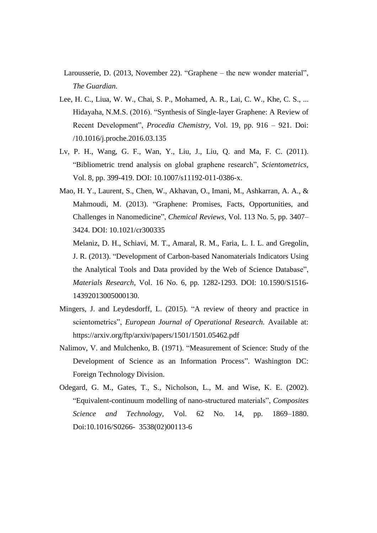- Larousserie, D. (2013, November 22). "Graphene the new wonder material", *The Guardian.*
- Lee, H. C., Liua, W. W., Chai, S. P., Mohamed, A. R., Lai, C. W., Khe, C. S., ... Hidayaha, N.M.S. (2016). "Synthesis of Single-layer Graphene: A Review of Recent Development", *Procedia Chemistry,* Vol. 19, pp. 916 – 921. Doi: /10.1016/j.proche.2016.03.135
- Lv, P. H., Wang, G. F., Wan, Y., Liu, J., Liu, Q. and Ma, F. C. (2011). "Bibliometric trend analysis on global graphene research", *Scientometrics,*  Vol. 8*,* pp. 399-419. DOI: 10.1007/s11192-011-0386-x.
- [Mao,](https://pubs.acs.org/author/Mao%2C+Hong+Ying) H. Y., [Laurent,](https://pubs.acs.org/author/Laurent%2C+Sophie) S., [Chen,](https://pubs.acs.org/author/Chen%2C+Wei) W., [Akhavan,](https://pubs.acs.org/author/Akhavan%2C+Omid) O., [Imani,](https://pubs.acs.org/author/Imani%2C+Mohammad) M., [Ashkarran,](https://pubs.acs.org/author/Ashkarran%2C+Ali+Akbar) A. A., & Mahmoudi, M. (2013). "Graphene: Promises, Facts, Opportunities, and Challenges in Nanomedicine", *Chemical Reviews,* Vol. 113 No. 5, pp. 3407– 3424. DOI: 10.1021/cr300335

Melaniz, D. H., Schiavi, M. T., Amaral, R. M., Faria, L. I. L. and Gregolin, J. R. (2013). "Development of Carbon-based Nanomaterials Indicators Using the Analytical Tools and Data provided by the Web of Science Database", *Materials Research,* Vol. 16 No. 6, pp. 1282-1293. DOI: 10.1590/S1516- 14392013005000130.

- Mingers, J. and Leydesdorff, L. (2015). "A review of theory and practice in scientometrics", *European Journal of Operational Research.* Available at: https://arxiv.org/ftp/arxiv/papers/1501/1501.05462.pdf
- Nalimov, V. and Mulchenko, B. (1971). "Measurement of Science: Study of the Development of Science as an Information Process". Washington DC: Foreign Technology Division.
- Odegard, G. M., Gates, T., S., Nicholson, L., M. and Wise, K. E. (2002). "Equivalent-continuum modelling of nano-structured materials", *Composites Science and Technology,* Vol. 62 No. 14, pp. 1869–1880. Doi:10.1016/S0266- 3538(02)00113-6